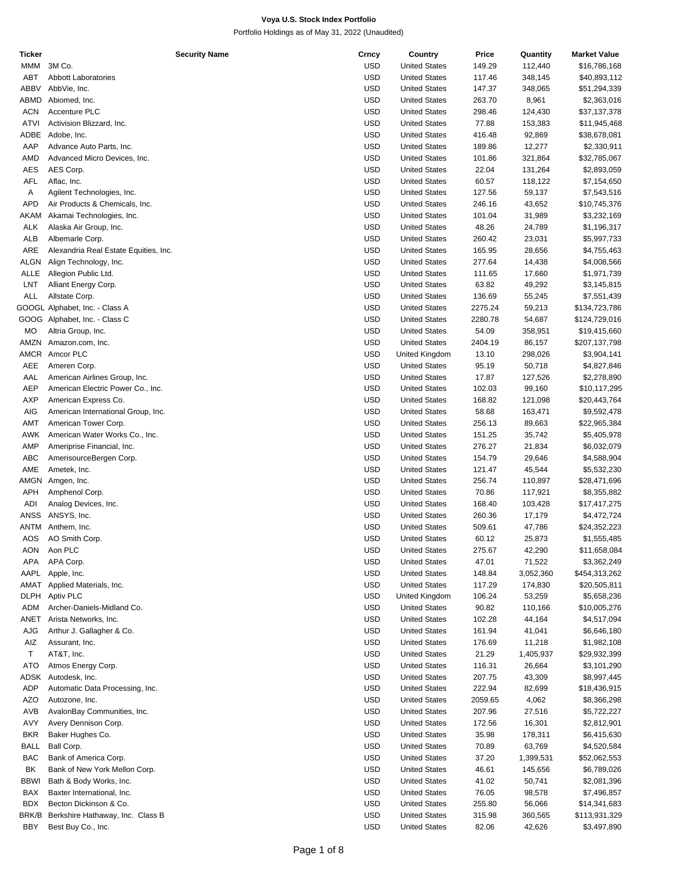| Ticker      | <b>Security Name</b>                  | Crncy      | Country              | Price   | Quantity  | <b>Market Value</b> |
|-------------|---------------------------------------|------------|----------------------|---------|-----------|---------------------|
| MMM         | 3M Co.                                | <b>USD</b> | <b>United States</b> | 149.29  | 112,440   | \$16,786,168        |
| ABT         | <b>Abbott Laboratories</b>            | <b>USD</b> | <b>United States</b> | 117.46  | 348,145   | \$40,893,112        |
| ABBV        | AbbVie, Inc.                          | <b>USD</b> | <b>United States</b> | 147.37  | 348,065   | \$51,294,339        |
| ABMD        | Abiomed, Inc.                         | <b>USD</b> | <b>United States</b> | 263.70  | 8,961     | \$2,363,016         |
|             |                                       |            |                      |         |           |                     |
| <b>ACN</b>  | Accenture PLC                         | <b>USD</b> | <b>United States</b> | 298.46  | 124,430   | \$37,137,378        |
| ATVI        | Activision Blizzard, Inc.             | <b>USD</b> | <b>United States</b> | 77.88   | 153,383   | \$11,945,468        |
| ADBE        | Adobe, Inc.                           | <b>USD</b> | <b>United States</b> | 416.48  | 92,869    | \$38,678,081        |
| AAP         | Advance Auto Parts, Inc.              | <b>USD</b> | <b>United States</b> | 189.86  | 12,277    | \$2,330,911         |
| AMD         | Advanced Micro Devices, Inc.          | <b>USD</b> | <b>United States</b> | 101.86  | 321,864   | \$32,785,067        |
| AES         | AES Corp.                             | <b>USD</b> | <b>United States</b> | 22.04   | 131,264   | \$2,893,059         |
| AFL         | Aflac, Inc.                           | <b>USD</b> | <b>United States</b> | 60.57   |           |                     |
|             |                                       |            |                      |         | 118,122   | \$7,154,650         |
| Α           | Agilent Technologies, Inc.            | <b>USD</b> | <b>United States</b> | 127.56  | 59,137    | \$7,543,516         |
| APD         | Air Products & Chemicals, Inc.        | <b>USD</b> | <b>United States</b> | 246.16  | 43,652    | \$10,745,376        |
| AKAM        | Akamai Technologies, Inc.             | <b>USD</b> | <b>United States</b> | 101.04  | 31,989    | \$3,232,169         |
| ALK         | Alaska Air Group, Inc.                | <b>USD</b> | <b>United States</b> | 48.26   | 24,789    | \$1,196,317         |
| ALB         | Albemarle Corp.                       | <b>USD</b> | <b>United States</b> | 260.42  | 23,031    | \$5,997,733         |
| ARE         | Alexandria Real Estate Equities, Inc. | <b>USD</b> | <b>United States</b> | 165.95  | 28,656    | \$4,755,463         |
|             |                                       |            |                      |         |           |                     |
| ALGN        | Align Technology, Inc.                | <b>USD</b> | <b>United States</b> | 277.64  | 14,438    | \$4,008,566         |
| ALLE        | Allegion Public Ltd.                  | <b>USD</b> | <b>United States</b> | 111.65  | 17,660    | \$1,971,739         |
| LNT         | Alliant Energy Corp.                  | <b>USD</b> | <b>United States</b> | 63.82   | 49,292    | \$3,145,815         |
| ALL         | Allstate Corp.                        | <b>USD</b> | <b>United States</b> | 136.69  | 55,245    | \$7,551,439         |
|             | GOOGL Alphabet, Inc. - Class A        | <b>USD</b> | <b>United States</b> | 2275.24 | 59,213    | \$134,723,786       |
|             | GOOG Alphabet, Inc. - Class C         | <b>USD</b> | <b>United States</b> | 2280.78 | 54,687    | \$124,729,016       |
|             |                                       |            |                      |         |           |                     |
| MO          | Altria Group, Inc.                    | <b>USD</b> | <b>United States</b> | 54.09   | 358,951   | \$19,415,660        |
| AMZN        | Amazon.com, Inc.                      | <b>USD</b> | <b>United States</b> | 2404.19 | 86,157    | \$207,137,798       |
| AMCR        | Amcor PLC                             | <b>USD</b> | United Kingdom       | 13.10   | 298,026   | \$3,904,141         |
| AEE         | Ameren Corp.                          | <b>USD</b> | <b>United States</b> | 95.19   | 50,718    | \$4,827,846         |
| AAL         | American Airlines Group, Inc.         | <b>USD</b> | <b>United States</b> | 17.87   | 127,526   | \$2,278,890         |
| <b>AEP</b>  | American Electric Power Co., Inc.     | <b>USD</b> | <b>United States</b> | 102.03  | 99,160    | \$10,117,295        |
| <b>AXP</b>  |                                       | <b>USD</b> |                      |         |           |                     |
|             | American Express Co.                  |            | <b>United States</b> | 168.82  | 121,098   | \$20,443,764        |
| AIG         | American International Group, Inc.    | <b>USD</b> | <b>United States</b> | 58.68   | 163,471   | \$9,592,478         |
| AMT         | American Tower Corp.                  | <b>USD</b> | <b>United States</b> | 256.13  | 89,663    | \$22,965,384        |
| AWK         | American Water Works Co., Inc.        | <b>USD</b> | <b>United States</b> | 151.25  | 35,742    | \$5,405,978         |
| AMP         | Ameriprise Financial, Inc.            | <b>USD</b> | <b>United States</b> | 276.27  | 21,834    | \$6,032,079         |
| ABC         | AmerisourceBergen Corp.               | <b>USD</b> | <b>United States</b> | 154.79  | 29,646    | \$4,588,904         |
| AME         | Ametek, Inc.                          | <b>USD</b> | <b>United States</b> | 121.47  | 45,544    | \$5,532,230         |
|             |                                       |            |                      |         |           |                     |
| AMGN        | Amgen, Inc.                           | <b>USD</b> | <b>United States</b> | 256.74  | 110,897   | \$28,471,696        |
| APH         | Amphenol Corp.                        | <b>USD</b> | <b>United States</b> | 70.86   | 117,921   | \$8,355,882         |
| ADI         | Analog Devices, Inc.                  | <b>USD</b> | <b>United States</b> | 168.40  | 103,428   | \$17,417,275        |
| ANSS        | ANSYS, Inc.                           | <b>USD</b> | <b>United States</b> | 260.36  | 17,179    | \$4,472,724         |
| ANTM        | Anthem, Inc.                          | <b>USD</b> | <b>United States</b> | 509.61  | 47,786    | \$24,352,223        |
| AOS         | AO Smith Corp.                        | <b>USD</b> | <b>United States</b> | 60.12   | 25,873    | \$1,555,485         |
|             | Aon PLC                               | <b>USD</b> |                      |         |           |                     |
| AON         |                                       |            | <b>United States</b> | 275.67  | 42,290    | \$11,658,084        |
| APA         | APA Corp.                             | <b>USD</b> | <b>United States</b> | 47.01   | 71,522    | \$3,362,249         |
| AAPL        | Apple, Inc.                           | <b>USD</b> | <b>United States</b> | 148.84  | 3,052,360 | \$454,313,262       |
| <b>TAMA</b> | Applied Materials, Inc.               | <b>USD</b> | <b>United States</b> | 117.29  | 174,830   | \$20,505,811        |
| DLPH        | Aptiv PLC                             | <b>USD</b> | United Kingdom       | 106.24  | 53,259    | \$5,658,236         |
| ADM         | Archer-Daniels-Midland Co.            | <b>USD</b> | <b>United States</b> | 90.82   | 110,166   | \$10,005,276        |
| ANET        | Arista Networks, Inc.                 | <b>USD</b> | <b>United States</b> | 102.28  | 44,164    | \$4,517,094         |
|             |                                       |            |                      |         |           |                     |
| AJG         | Arthur J. Gallagher & Co.             | <b>USD</b> | <b>United States</b> | 161.94  | 41,041    | \$6,646,180         |
| AIZ         | Assurant, Inc.                        | <b>USD</b> | <b>United States</b> | 176.69  | 11,218    | \$1,982,108         |
| Τ           | AT&T, Inc.                            | <b>USD</b> | <b>United States</b> | 21.29   | 1,405,937 | \$29,932,399        |
| <b>ATO</b>  | Atmos Energy Corp.                    | <b>USD</b> | <b>United States</b> | 116.31  | 26,664    | \$3,101,290         |
| ADSK        | Autodesk, Inc.                        | <b>USD</b> | <b>United States</b> | 207.75  | 43,309    | \$8,997,445         |
| <b>ADP</b>  | Automatic Data Processing, Inc.       | <b>USD</b> | <b>United States</b> | 222.94  | 82,699    | \$18,436,915        |
|             |                                       |            |                      |         |           |                     |
| AZO         | Autozone, Inc.                        | <b>USD</b> | <b>United States</b> | 2059.65 | 4,062     | \$8,366,298         |
| AVB         | AvalonBay Communities, Inc.           | <b>USD</b> | <b>United States</b> | 207.96  | 27,516    | \$5,722,227         |
| AVY         | Avery Dennison Corp.                  | <b>USD</b> | <b>United States</b> | 172.56  | 16,301    | \$2,812,901         |
| <b>BKR</b>  | Baker Hughes Co.                      | <b>USD</b> | <b>United States</b> | 35.98   | 178,311   | \$6,415,630         |
| <b>BALL</b> | Ball Corp.                            | <b>USD</b> | <b>United States</b> | 70.89   | 63,769    | \$4,520,584         |
| BAC         | Bank of America Corp.                 | <b>USD</b> | <b>United States</b> | 37.20   | 1,399,531 | \$52,062,553        |
|             |                                       |            |                      |         |           |                     |
| BK          | Bank of New York Mellon Corp.         | <b>USD</b> | <b>United States</b> | 46.61   | 145,656   | \$6,789,026         |
| <b>BBWI</b> | Bath & Body Works, Inc.               | <b>USD</b> | <b>United States</b> | 41.02   | 50,741    | \$2,081,396         |
| BAX         | Baxter International, Inc.            | <b>USD</b> | <b>United States</b> | 76.05   | 98,578    | \$7,496,857         |
| <b>BDX</b>  | Becton Dickinson & Co.                | <b>USD</b> | <b>United States</b> | 255.80  | 56,066    | \$14,341,683        |
| BRK/B       | Berkshire Hathaway, Inc. Class B      | <b>USD</b> | <b>United States</b> | 315.98  | 360,565   | \$113,931,329       |
| BBY         | Best Buy Co., Inc.                    | <b>USD</b> | <b>United States</b> | 82.06   | 42,626    | \$3,497,890         |
|             |                                       |            |                      |         |           |                     |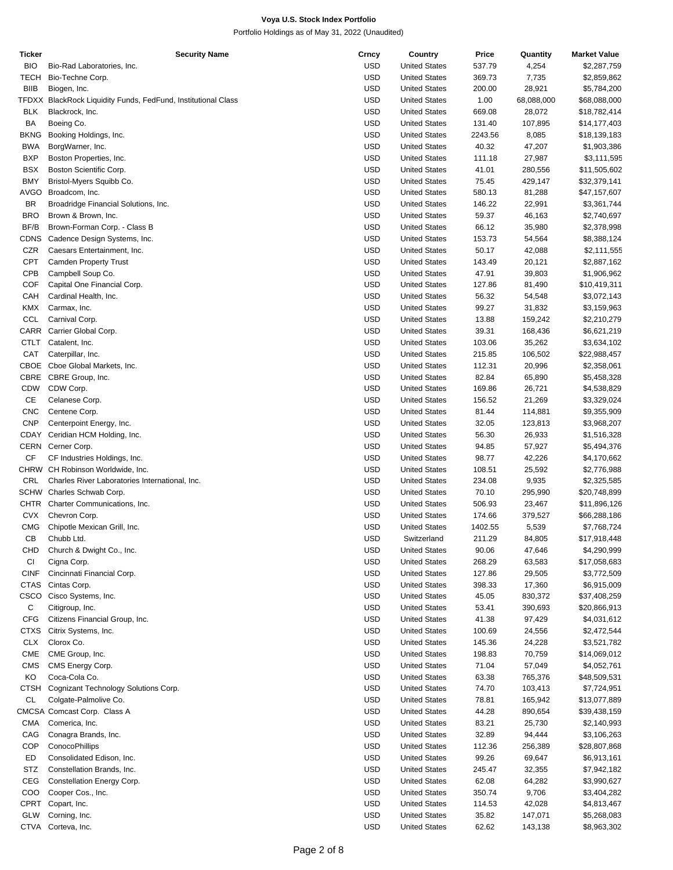| Ticker      | <b>Security Name</b>                                          | Crncy      | Country              | Price   | Quantity   | <b>Market Value</b> |
|-------------|---------------------------------------------------------------|------------|----------------------|---------|------------|---------------------|
| <b>BIO</b>  | Bio-Rad Laboratories, Inc.                                    | <b>USD</b> | <b>United States</b> | 537.79  | 4,254      | \$2,287,759         |
| <b>TECH</b> | Bio-Techne Corp.                                              | <b>USD</b> | <b>United States</b> | 369.73  | 7,735      | \$2,859,862         |
| <b>BIIB</b> | Biogen, Inc.                                                  | <b>USD</b> | <b>United States</b> | 200.00  | 28,921     | \$5,784,200         |
|             | TFDXX BlackRock Liquidity Funds, FedFund, Institutional Class | <b>USD</b> | <b>United States</b> | 1.00    | 68,088,000 | \$68,088,000        |
| <b>BLK</b>  | Blackrock, Inc.                                               | <b>USD</b> | <b>United States</b> | 669.08  | 28,072     | \$18,782,414        |
| BA          | Boeing Co.                                                    | <b>USD</b> | <b>United States</b> | 131.40  | 107,895    | \$14,177,403        |
| <b>BKNG</b> |                                                               | <b>USD</b> |                      |         |            |                     |
|             | Booking Holdings, Inc.                                        |            | <b>United States</b> | 2243.56 | 8,085      | \$18,139,183        |
| <b>BWA</b>  | BorgWarner, Inc.                                              | <b>USD</b> | <b>United States</b> | 40.32   | 47,207     | \$1,903,386         |
| <b>BXP</b>  | Boston Properties, Inc.                                       | <b>USD</b> | <b>United States</b> | 111.18  | 27,987     | \$3,111,595         |
| <b>BSX</b>  | Boston Scientific Corp.                                       | <b>USD</b> | <b>United States</b> | 41.01   | 280,556    | \$11,505,602        |
| <b>BMY</b>  | Bristol-Myers Squibb Co.                                      | <b>USD</b> | <b>United States</b> | 75.45   | 429,147    | \$32,379,141        |
| <b>AVGO</b> | Broadcom, Inc.                                                | <b>USD</b> | <b>United States</b> | 580.13  | 81,288     | \$47,157,607        |
| BR          | Broadridge Financial Solutions, Inc.                          | <b>USD</b> | <b>United States</b> | 146.22  | 22,991     | \$3,361,744         |
| <b>BRO</b>  | Brown & Brown, Inc.                                           | <b>USD</b> | <b>United States</b> | 59.37   | 46,163     | \$2,740,697         |
| BF/B        | Brown-Forman Corp. - Class B                                  | <b>USD</b> | <b>United States</b> | 66.12   | 35,980     | \$2,378,998         |
| <b>CDNS</b> | Cadence Design Systems, Inc.                                  | <b>USD</b> | <b>United States</b> | 153.73  | 54,564     | \$8,388,124         |
| CZR         | Caesars Entertainment, Inc.                                   | <b>USD</b> | <b>United States</b> | 50.17   | 42,088     | \$2,111,555         |
| <b>CPT</b>  | <b>Camden Property Trust</b>                                  | <b>USD</b> | <b>United States</b> | 143.49  | 20,121     | \$2,887,162         |
| CPB         | Campbell Soup Co.                                             | <b>USD</b> | <b>United States</b> | 47.91   | 39,803     | \$1,906,962         |
| COF         | Capital One Financial Corp.                                   | <b>USD</b> | <b>United States</b> | 127.86  | 81,490     | \$10,419,311        |
| CAH         |                                                               | <b>USD</b> |                      |         |            |                     |
|             | Cardinal Health, Inc.                                         |            | <b>United States</b> | 56.32   | 54,548     | \$3,072,143         |
| <b>KMX</b>  | Carmax, Inc.                                                  | <b>USD</b> | <b>United States</b> | 99.27   | 31,832     | \$3,159,963         |
| CCL         | Carnival Corp.                                                | <b>USD</b> | <b>United States</b> | 13.88   | 159,242    | \$2,210,279         |
|             | CARR Carrier Global Corp.                                     | <b>USD</b> | <b>United States</b> | 39.31   | 168,436    | \$6,621,219         |
| <b>CTLT</b> | Catalent, Inc.                                                | <b>USD</b> | <b>United States</b> | 103.06  | 35,262     | \$3,634,102         |
| CAT         | Caterpillar, Inc.                                             | <b>USD</b> | <b>United States</b> | 215.85  | 106,502    | \$22,988,457        |
| CBOE        | Cboe Global Markets, Inc.                                     | <b>USD</b> | <b>United States</b> | 112.31  | 20,996     | \$2,358,061         |
| CBRE        | CBRE Group, Inc.                                              | <b>USD</b> | <b>United States</b> | 82.84   | 65,890     | \$5,458,328         |
| <b>CDW</b>  | CDW Corp.                                                     | <b>USD</b> | <b>United States</b> | 169.86  | 26,721     | \$4,538,829         |
| СE          | Celanese Corp.                                                | <b>USD</b> | <b>United States</b> | 156.52  | 21,269     | \$3,329,024         |
| <b>CNC</b>  | Centene Corp.                                                 | <b>USD</b> | <b>United States</b> | 81.44   | 114,881    | \$9,355,909         |
| <b>CNP</b>  | Centerpoint Energy, Inc.                                      | <b>USD</b> | <b>United States</b> | 32.05   | 123,813    | \$3,968,207         |
| CDAY        | Ceridian HCM Holding, Inc.                                    | <b>USD</b> | <b>United States</b> | 56.30   | 26,933     | \$1,516,328         |
|             | CERN Cerner Corp.                                             | <b>USD</b> | <b>United States</b> |         |            | \$5,494,376         |
|             |                                                               |            |                      | 94.85   | 57,927     |                     |
| CF          | CF Industries Holdings, Inc.                                  | <b>USD</b> | <b>United States</b> | 98.77   | 42,226     | \$4,170,662         |
|             | CHRW CH Robinson Worldwide, Inc.                              | <b>USD</b> | <b>United States</b> | 108.51  | 25,592     | \$2,776,988         |
| CRL         | Charles River Laboratories International, Inc.                | <b>USD</b> | <b>United States</b> | 234.08  | 9,935      | \$2,325,585         |
|             | SCHW Charles Schwab Corp.                                     | <b>USD</b> | <b>United States</b> | 70.10   | 295,990    | \$20,748,899        |
| <b>CHTR</b> | Charter Communications, Inc.                                  | <b>USD</b> | <b>United States</b> | 506.93  | 23,467     | \$11,896,126        |
| <b>CVX</b>  | Chevron Corp.                                                 | <b>USD</b> | <b>United States</b> | 174.66  | 379,527    | \$66,288,186        |
| <b>CMG</b>  | Chipotle Mexican Grill, Inc.                                  | <b>USD</b> | <b>United States</b> | 1402.55 | 5,539      | \$7,768,724         |
| CB          | Chubb Ltd.                                                    | <b>USD</b> | Switzerland          | 211.29  | 84,805     | \$17,918,448        |
| <b>CHD</b>  | Church & Dwight Co., Inc.                                     | <b>USD</b> | <b>United States</b> | 90.06   | 47,646     | \$4,290,999         |
| CI          | Cigna Corp.                                                   | <b>USD</b> | <b>United States</b> | 268.29  | 63,583     | \$17,058,683        |
| <b>CINF</b> | Cincinnati Financial Corp.                                    | <b>USD</b> | <b>United States</b> | 127.86  | 29,505     | \$3,772,509         |
| <b>CTAS</b> | Cintas Corp.                                                  | <b>USD</b> | <b>United States</b> | 398.33  | 17,360     | \$6,915,009         |
| <b>CSCO</b> | Cisco Systems, Inc.                                           | <b>USD</b> | <b>United States</b> | 45.05   | 830,372    | \$37,408,259        |
| С           |                                                               | <b>USD</b> | <b>United States</b> |         |            |                     |
|             | Citigroup, Inc.                                               |            |                      | 53.41   | 390,693    | \$20,866,913        |
| <b>CFG</b>  | Citizens Financial Group, Inc.                                | <b>USD</b> | <b>United States</b> | 41.38   | 97,429     | \$4,031,612         |
| CTXS        | Citrix Systems, Inc.                                          | <b>USD</b> | <b>United States</b> | 100.69  | 24,556     | \$2,472,544         |
| <b>CLX</b>  | Clorox Co.                                                    | <b>USD</b> | <b>United States</b> | 145.36  | 24,228     | \$3,521,782         |
| <b>CME</b>  | CME Group, Inc.                                               | <b>USD</b> | <b>United States</b> | 198.83  | 70,759     | \$14,069,012        |
| <b>CMS</b>  | CMS Energy Corp.                                              | USD        | <b>United States</b> | 71.04   | 57,049     | \$4,052,761         |
| KO          | Coca-Cola Co.                                                 | <b>USD</b> | <b>United States</b> | 63.38   | 765,376    | \$48,509,531        |
| <b>CTSH</b> | Cognizant Technology Solutions Corp.                          | <b>USD</b> | <b>United States</b> | 74.70   | 103,413    | \$7,724,951         |
| СL          | Colgate-Palmolive Co.                                         | <b>USD</b> | <b>United States</b> | 78.81   | 165,942    | \$13,077,889        |
|             | CMCSA Comcast Corp. Class A                                   | <b>USD</b> | <b>United States</b> | 44.28   | 890,654    | \$39,438,159        |
| <b>CMA</b>  | Comerica, Inc.                                                | <b>USD</b> | <b>United States</b> | 83.21   | 25,730     | \$2,140,993         |
| CAG         | Conagra Brands, Inc.                                          | <b>USD</b> | <b>United States</b> | 32.89   | 94,444     | \$3,106,263         |
| COP         | ConocoPhillips                                                | <b>USD</b> | <b>United States</b> | 112.36  | 256,389    | \$28,807,868        |
| ED          | Consolidated Edison, Inc.                                     | USD        | <b>United States</b> |         |            |                     |
|             |                                                               |            |                      | 99.26   | 69,647     | \$6,913,161         |
| STZ         | Constellation Brands, Inc.                                    | <b>USD</b> | <b>United States</b> | 245.47  | 32,355     | \$7,942,182         |
| CEG         | Constellation Energy Corp.                                    | <b>USD</b> | <b>United States</b> | 62.08   | 64,282     | \$3,990,627         |
| COO         | Cooper Cos., Inc.                                             | <b>USD</b> | <b>United States</b> | 350.74  | 9,706      | \$3,404,282         |
| CPRT        | Copart, Inc.                                                  | <b>USD</b> | <b>United States</b> | 114.53  | 42,028     | \$4,813,467         |
| <b>GLW</b>  | Corning, Inc.                                                 | <b>USD</b> | <b>United States</b> | 35.82   | 147,071    | \$5,268,083         |
| CTVA        | Corteva, Inc.                                                 | <b>USD</b> | <b>United States</b> | 62.62   | 143,138    | \$8,963,302         |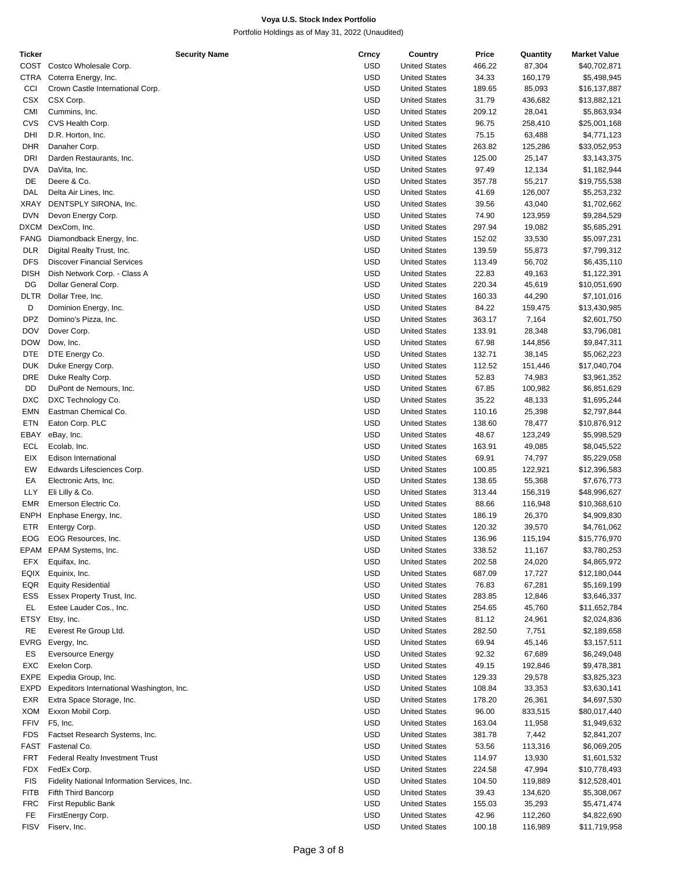| <b>Ticker</b> | <b>Security Name</b>                         | Crncy      | Country              | Price  | Quantity | <b>Market Value</b> |
|---------------|----------------------------------------------|------------|----------------------|--------|----------|---------------------|
|               | COST Costco Wholesale Corp.                  | <b>USD</b> | <b>United States</b> | 466.22 | 87,304   | \$40,702,871        |
|               | CTRA Coterra Energy, Inc.                    | <b>USD</b> | <b>United States</b> | 34.33  | 160,179  | \$5,498,945         |
| CCI           | Crown Castle International Corp.             | <b>USD</b> | <b>United States</b> | 189.65 | 85,093   | \$16,137,887        |
| CSX           | CSX Corp.                                    | <b>USD</b> | <b>United States</b> | 31.79  | 436,682  | \$13,882,121        |
| CMI           | Cummins, Inc.                                | <b>USD</b> | <b>United States</b> | 209.12 | 28,041   | \$5,863,934         |
| CVS           | CVS Health Corp.                             | <b>USD</b> | <b>United States</b> | 96.75  | 258,410  | \$25,001,168        |
| DHI           | D.R. Horton, Inc.                            | <b>USD</b> | <b>United States</b> | 75.15  | 63,488   | \$4,771,123         |
| DHR           | Danaher Corp.                                | <b>USD</b> | <b>United States</b> | 263.82 | 125,286  | \$33,052,953        |
| DRI           | Darden Restaurants, Inc.                     | <b>USD</b> | <b>United States</b> | 125.00 | 25,147   | \$3,143,375         |
| <b>DVA</b>    | DaVita, Inc.                                 | <b>USD</b> | <b>United States</b> | 97.49  | 12,134   | \$1,182,944         |
| DE            | Deere & Co.                                  | <b>USD</b> | <b>United States</b> | 357.78 | 55,217   | \$19,755,538        |
| DAL           | Delta Air Lines, Inc.                        | <b>USD</b> | <b>United States</b> | 41.69  | 126,007  | \$5,253,232         |
| XRAY          | DENTSPLY SIRONA, Inc.                        | <b>USD</b> | <b>United States</b> | 39.56  | 43,040   | \$1,702,662         |
| <b>DVN</b>    | Devon Energy Corp.                           | <b>USD</b> | <b>United States</b> | 74.90  | 123,959  | \$9,284,529         |
|               | DXCM DexCom, Inc.                            | <b>USD</b> | <b>United States</b> | 297.94 | 19,082   | \$5,685,291         |
| <b>FANG</b>   |                                              | <b>USD</b> | <b>United States</b> | 152.02 |          |                     |
|               | Diamondback Energy, Inc.                     |            |                      |        | 33,530   | \$5,097,231         |
| <b>DLR</b>    | Digital Realty Trust, Inc.                   | <b>USD</b> | <b>United States</b> | 139.59 | 55,873   | \$7,799,312         |
| <b>DFS</b>    | <b>Discover Financial Services</b>           | <b>USD</b> | <b>United States</b> | 113.49 | 56,702   | \$6,435,110         |
| <b>DISH</b>   | Dish Network Corp. - Class A                 | <b>USD</b> | <b>United States</b> | 22.83  | 49,163   | \$1,122,391         |
| DG            | Dollar General Corp.                         | <b>USD</b> | <b>United States</b> | 220.34 | 45,619   | \$10,051,690        |
| <b>DLTR</b>   | Dollar Tree, Inc.                            | <b>USD</b> | <b>United States</b> | 160.33 | 44,290   | \$7,101,016         |
| D             | Dominion Energy, Inc.                        | <b>USD</b> | <b>United States</b> | 84.22  | 159,475  | \$13,430,985        |
| <b>DPZ</b>    | Domino's Pizza, Inc.                         | <b>USD</b> | <b>United States</b> | 363.17 | 7,164    | \$2,601,750         |
| <b>DOV</b>    | Dover Corp.                                  | <b>USD</b> | <b>United States</b> | 133.91 | 28,348   | \$3,796,081         |
| <b>DOW</b>    | Dow, Inc.                                    | <b>USD</b> | <b>United States</b> | 67.98  | 144,856  | \$9,847,311         |
| DTE           | DTE Energy Co.                               | <b>USD</b> | <b>United States</b> | 132.71 | 38,145   | \$5,062,223         |
| <b>DUK</b>    | Duke Energy Corp.                            | <b>USD</b> | <b>United States</b> | 112.52 | 151,446  | \$17,040,704        |
| <b>DRE</b>    | Duke Realty Corp.                            | <b>USD</b> | <b>United States</b> | 52.83  | 74,983   | \$3,961,352         |
| DD            | DuPont de Nemours, Inc.                      | <b>USD</b> | <b>United States</b> | 67.85  | 100,982  | \$6,851,629         |
| <b>DXC</b>    | DXC Technology Co.                           | <b>USD</b> | <b>United States</b> | 35.22  | 48,133   | \$1,695,244         |
| <b>EMN</b>    | Eastman Chemical Co.                         | <b>USD</b> | <b>United States</b> | 110.16 | 25,398   | \$2,797,844         |
| ETN           | Eaton Corp. PLC                              | <b>USD</b> | <b>United States</b> | 138.60 | 78,477   | \$10,876,912        |
| EBAY          | eBay, Inc.                                   | <b>USD</b> | <b>United States</b> | 48.67  | 123,249  | \$5,998,529         |
| ECL           | Ecolab, Inc.                                 | <b>USD</b> | <b>United States</b> | 163.91 | 49,085   | \$8,045,522         |
| EIX           | Edison International                         | <b>USD</b> | <b>United States</b> | 69.91  | 74,797   | \$5,229,058         |
| EW            | Edwards Lifesciences Corp.                   | <b>USD</b> | <b>United States</b> | 100.85 | 122,921  | \$12,396,583        |
| EA            | Electronic Arts, Inc.                        | <b>USD</b> | <b>United States</b> | 138.65 | 55,368   | \$7,676,773         |
| LLY           | Eli Lilly & Co.                              | <b>USD</b> | <b>United States</b> | 313.44 | 156,319  | \$48,996,627        |
| <b>EMR</b>    | Emerson Electric Co.                         | <b>USD</b> | <b>United States</b> | 88.66  | 116,948  | \$10,368,610        |
| <b>ENPH</b>   | Enphase Energy, Inc.                         | <b>USD</b> | <b>United States</b> | 186.19 | 26,370   | \$4,909,830         |
| ETR           | Entergy Corp.                                | <b>USD</b> | <b>United States</b> | 120.32 | 39,570   | \$4,761,062         |
| EOG           | EOG Resources, Inc.                          | <b>USD</b> | <b>United States</b> | 136.96 | 115,194  | \$15,776,970        |
|               | EPAM EPAM Systems, Inc.                      | <b>USD</b> | <b>United States</b> | 338.52 | 11,167   | \$3,780,253         |
| EFX           | Equifax, Inc.                                | <b>USD</b> | <b>United States</b> | 202.58 | 24,020   | \$4,865,972         |
| EQIX          | Equinix, Inc.                                | <b>USD</b> | <b>United States</b> | 687.09 | 17,727   | \$12,180,044        |
| EQR           | <b>Equity Residential</b>                    | USD        | <b>United States</b> | 76.83  | 67,281   | \$5,169,199         |
| ESS           | Essex Property Trust, Inc.                   | <b>USD</b> | <b>United States</b> | 283.85 | 12,846   | \$3,646,337         |
| EL            | Estee Lauder Cos., Inc.                      | <b>USD</b> | <b>United States</b> | 254.65 | 45,760   | \$11,652,784        |
|               |                                              | <b>USD</b> | <b>United States</b> |        |          |                     |
| ETSY          | Etsy, Inc.                                   |            |                      | 81.12  | 24,961   | \$2,024,836         |
| RE            | Everest Re Group Ltd.                        | <b>USD</b> | <b>United States</b> | 282.50 | 7,751    | \$2,189,658         |
| EVRG          | Evergy, Inc.                                 | <b>USD</b> | <b>United States</b> | 69.94  | 45,146   | \$3,157,511         |
| ES            | <b>Eversource Energy</b>                     | <b>USD</b> | <b>United States</b> | 92.32  | 67,689   | \$6,249,048         |
| EXC           | Exelon Corp.                                 | <b>USD</b> | <b>United States</b> | 49.15  | 192,846  | \$9,478,381         |
| EXPE          | Expedia Group, Inc.                          | USD        | <b>United States</b> | 129.33 | 29,578   | \$3,825,323         |
| EXPD          | Expeditors International Washington, Inc.    | <b>USD</b> | <b>United States</b> | 108.84 | 33,353   | \$3,630,141         |
| EXR           | Extra Space Storage, Inc.                    | <b>USD</b> | <b>United States</b> | 178.20 | 26,361   | \$4,697,530         |
| XOM           | Exxon Mobil Corp.                            | <b>USD</b> | <b>United States</b> | 96.00  | 833,515  | \$80,017,440        |
| <b>FFIV</b>   | F5, Inc.                                     | <b>USD</b> | <b>United States</b> | 163.04 | 11,958   | \$1,949,632         |
| <b>FDS</b>    | Factset Research Systems, Inc.               | <b>USD</b> | <b>United States</b> | 381.78 | 7,442    | \$2,841,207         |
| FAST          | Fastenal Co.                                 | <b>USD</b> | <b>United States</b> | 53.56  | 113,316  | \$6,069,205         |
| FRT           | <b>Federal Realty Investment Trust</b>       | <b>USD</b> | <b>United States</b> | 114.97 | 13,930   | \$1,601,532         |
| <b>FDX</b>    | FedEx Corp.                                  | USD        | <b>United States</b> | 224.58 | 47,994   | \$10,778,493        |
| <b>FIS</b>    | Fidelity National Information Services, Inc. | <b>USD</b> | <b>United States</b> | 104.50 | 119,889  | \$12,528,401        |
| <b>FITB</b>   | Fifth Third Bancorp                          | <b>USD</b> | <b>United States</b> | 39.43  | 134,620  | \$5,308,067         |
| <b>FRC</b>    | First Republic Bank                          | <b>USD</b> | <b>United States</b> | 155.03 | 35,293   | \$5,471,474         |
| FE            | FirstEnergy Corp.                            | USD        | <b>United States</b> | 42.96  | 112,260  | \$4,822,690         |
| <b>FISV</b>   | Fiserv, Inc.                                 | <b>USD</b> | <b>United States</b> | 100.18 | 116,989  | \$11,719,958        |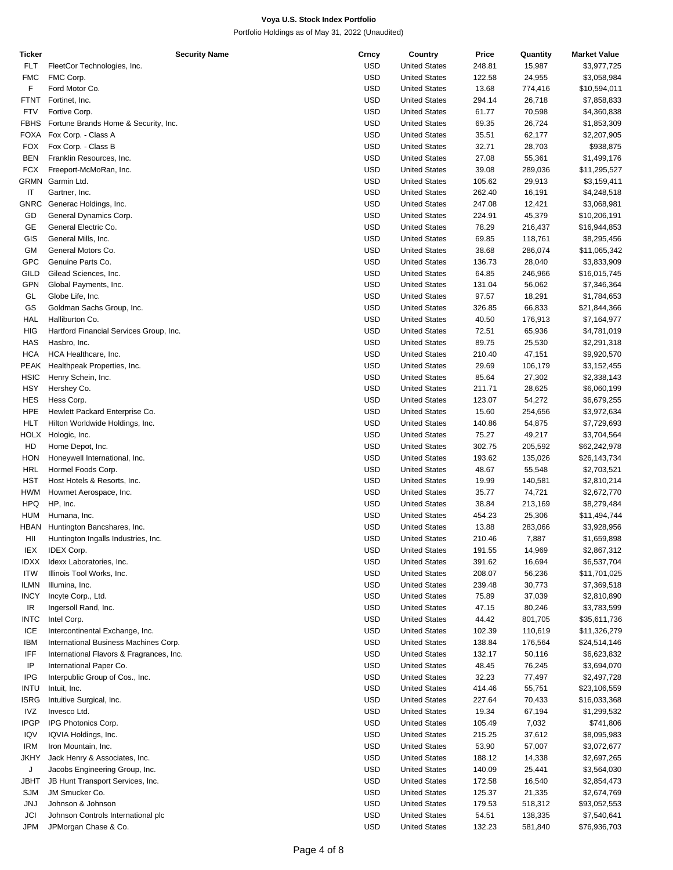| Ticker      | <b>Security Name</b>                     | Crncy      | Country              | Price  | Quantity | <b>Market Value</b> |
|-------------|------------------------------------------|------------|----------------------|--------|----------|---------------------|
| <b>FLT</b>  | FleetCor Technologies, Inc.              | <b>USD</b> | <b>United States</b> | 248.81 | 15,987   | \$3,977,725         |
| <b>FMC</b>  | FMC Corp.                                | <b>USD</b> | <b>United States</b> | 122.58 | 24,955   | \$3,058,984         |
| F           | Ford Motor Co.                           | <b>USD</b> | <b>United States</b> | 13.68  | 774,416  | \$10,594,011        |
| FTNT        | Fortinet, Inc.                           | <b>USD</b> | <b>United States</b> | 294.14 | 26,718   | \$7,858,833         |
| <b>FTV</b>  | Fortive Corp.                            | <b>USD</b> | <b>United States</b> | 61.77  | 70,598   | \$4,360,838         |
| <b>FBHS</b> | Fortune Brands Home & Security, Inc.     | <b>USD</b> | <b>United States</b> | 69.35  | 26,724   | \$1,853,309         |
| FOXA        | Fox Corp. - Class A                      | <b>USD</b> | <b>United States</b> | 35.51  | 62,177   | \$2,207,905         |
| <b>FOX</b>  | Fox Corp. - Class B                      | <b>USD</b> | <b>United States</b> | 32.71  | 28,703   | \$938,875           |
| <b>BEN</b>  |                                          | <b>USD</b> | <b>United States</b> | 27.08  |          |                     |
|             | Franklin Resources, Inc.                 |            |                      |        | 55,361   | \$1,499,176         |
| <b>FCX</b>  | Freeport-McMoRan, Inc.                   | <b>USD</b> | <b>United States</b> | 39.08  | 289,036  | \$11,295,527        |
| GRMN        | Garmin Ltd.                              | <b>USD</b> | <b>United States</b> | 105.62 | 29,913   | \$3,159,411         |
| IT          | Gartner, Inc.                            | <b>USD</b> | <b>United States</b> | 262.40 | 16,191   | \$4,248,518         |
| GNRC        | Generac Holdings, Inc.                   | <b>USD</b> | <b>United States</b> | 247.08 | 12,421   | \$3,068,981         |
| GD          | General Dynamics Corp.                   | <b>USD</b> | <b>United States</b> | 224.91 | 45,379   | \$10,206,191        |
| GE          | General Electric Co.                     | <b>USD</b> | <b>United States</b> | 78.29  | 216,437  | \$16,944,853        |
| GIS         | General Mills, Inc.                      | <b>USD</b> | <b>United States</b> | 69.85  | 118,761  | \$8,295,456         |
| GM          | General Motors Co.                       | <b>USD</b> | <b>United States</b> | 38.68  | 286,074  | \$11,065,342        |
| <b>GPC</b>  | Genuine Parts Co.                        | <b>USD</b> | <b>United States</b> | 136.73 | 28,040   | \$3,833,909         |
| <b>GILD</b> | Gilead Sciences, Inc.                    | <b>USD</b> | <b>United States</b> | 64.85  | 246,966  | \$16,015,745        |
| GPN         | Global Payments, Inc.                    | <b>USD</b> | <b>United States</b> | 131.04 | 56,062   | \$7,346,364         |
| GL          | Globe Life, Inc.                         | <b>USD</b> | <b>United States</b> | 97.57  | 18,291   | \$1,784,653         |
| GS          | Goldman Sachs Group, Inc.                | <b>USD</b> | <b>United States</b> | 326.85 | 66,833   | \$21,844,366        |
|             | Halliburton Co.                          | <b>USD</b> |                      |        |          |                     |
| HAL         |                                          |            | <b>United States</b> | 40.50  | 176,913  | \$7,164,977         |
| HIG         | Hartford Financial Services Group, Inc.  | <b>USD</b> | <b>United States</b> | 72.51  | 65,936   | \$4,781,019         |
| <b>HAS</b>  | Hasbro, Inc.                             | <b>USD</b> | <b>United States</b> | 89.75  | 25,530   | \$2,291,318         |
| <b>HCA</b>  | HCA Healthcare, Inc.                     | <b>USD</b> | <b>United States</b> | 210.40 | 47,151   | \$9,920,570         |
| PEAK        | Healthpeak Properties, Inc.              | <b>USD</b> | <b>United States</b> | 29.69  | 106,179  | \$3,152,455         |
| <b>HSIC</b> | Henry Schein, Inc.                       | <b>USD</b> | <b>United States</b> | 85.64  | 27,302   | \$2,338,143         |
| <b>HSY</b>  | Hershey Co.                              | <b>USD</b> | <b>United States</b> | 211.71 | 28,625   | \$6,060,199         |
| <b>HES</b>  | Hess Corp.                               | <b>USD</b> | <b>United States</b> | 123.07 | 54,272   | \$6,679,255         |
| <b>HPE</b>  | Hewlett Packard Enterprise Co.           | <b>USD</b> | <b>United States</b> | 15.60  | 254,656  | \$3,972,634         |
| HLT         | Hilton Worldwide Holdings, Inc.          | <b>USD</b> | <b>United States</b> | 140.86 | 54,875   | \$7,729,693         |
| HOLX        | Hologic, Inc.                            | <b>USD</b> | <b>United States</b> | 75.27  | 49,217   | \$3,704,564         |
| HD          | Home Depot, Inc.                         | <b>USD</b> | <b>United States</b> | 302.75 | 205,592  | \$62,242,978        |
| HON         | Honeywell International, Inc.            | <b>USD</b> | <b>United States</b> | 193.62 | 135,026  | \$26,143,734        |
| HRL         | Hormel Foods Corp.                       | <b>USD</b> | <b>United States</b> | 48.67  | 55,548   | \$2,703,521         |
| HST         | Host Hotels & Resorts, Inc.              | <b>USD</b> | <b>United States</b> | 19.99  | 140,581  | \$2,810,214         |
|             |                                          |            |                      |        |          |                     |
| HWM         | Howmet Aerospace, Inc.                   | <b>USD</b> | <b>United States</b> | 35.77  | 74,721   | \$2,672,770         |
| <b>HPQ</b>  | HP, Inc.                                 | <b>USD</b> | <b>United States</b> | 38.84  | 213,169  | \$8,279,484         |
| <b>HUM</b>  | Humana, Inc.                             | <b>USD</b> | <b>United States</b> | 454.23 | 25,306   | \$11,494,744        |
| HBAN        | Huntington Bancshares, Inc.              | <b>USD</b> | <b>United States</b> | 13.88  | 283,066  | \$3,928,956         |
| HII         | Huntington Ingalls Industries, Inc.      | <b>USD</b> | <b>United States</b> | 210.46 | 7,887    | \$1,659,898         |
| IEX         | IDEX Corp.                               | <b>USD</b> | <b>United States</b> | 191.55 | 14,969   | \$2,867,312         |
| <b>IDXX</b> | Idexx Laboratories, Inc.                 | <b>USD</b> | <b>United States</b> | 391.62 | 16,694   | \$6,537,704         |
| <b>ITW</b>  | Illinois Tool Works, Inc.                | USD        | <b>United States</b> | 208.07 | 56,236   | \$11,701,025        |
| <b>ILMN</b> | Illumina, Inc.                           | <b>USD</b> | <b>United States</b> | 239.48 | 30,773   | \$7,369,518         |
| <b>INCY</b> | Incyte Corp., Ltd.                       | <b>USD</b> | <b>United States</b> | 75.89  | 37,039   | \$2,810,890         |
| IR          | Ingersoll Rand, Inc.                     | <b>USD</b> | <b>United States</b> | 47.15  | 80,246   | \$3,783,599         |
| <b>INTC</b> | Intel Corp.                              | USD        | <b>United States</b> | 44.42  | 801,705  | \$35,611,736        |
| ICE         | Intercontinental Exchange, Inc.          | <b>USD</b> | <b>United States</b> | 102.39 | 110,619  | \$11,326,279        |
| <b>IBM</b>  | International Business Machines Corp.    | <b>USD</b> | <b>United States</b> | 138.84 | 176,564  | \$24,514,146        |
| IFF         | International Flavors & Fragrances, Inc. | <b>USD</b> | <b>United States</b> | 132.17 | 50,116   | \$6,623,832         |
|             |                                          |            |                      |        |          |                     |
| IP          | International Paper Co.                  | USD        | <b>United States</b> | 48.45  | 76,245   | \$3,694,070         |
| IPG         | Interpublic Group of Cos., Inc.          | <b>USD</b> | <b>United States</b> | 32.23  | 77,497   | \$2,497,728         |
| <b>INTU</b> | Intuit, Inc.                             | <b>USD</b> | <b>United States</b> | 414.46 | 55,751   | \$23,106,559        |
| ISRG        | Intuitive Surgical, Inc.                 | <b>USD</b> | <b>United States</b> | 227.64 | 70,433   | \$16,033,368        |
| IVZ         | Invesco Ltd.                             | USD        | <b>United States</b> | 19.34  | 67,194   | \$1,299,532         |
| <b>IPGP</b> | IPG Photonics Corp.                      | <b>USD</b> | <b>United States</b> | 105.49 | 7,032    | \$741,806           |
| IQV         | IQVIA Holdings, Inc.                     | <b>USD</b> | <b>United States</b> | 215.25 | 37,612   | \$8,095,983         |
| <b>IRM</b>  | Iron Mountain, Inc.                      | <b>USD</b> | <b>United States</b> | 53.90  | 57,007   | \$3,072,677         |
| JKHY        | Jack Henry & Associates, Inc.            | USD        | <b>United States</b> | 188.12 | 14,338   | \$2,697,265         |
| J           | Jacobs Engineering Group, Inc.           | <b>USD</b> | <b>United States</b> | 140.09 | 25,441   | \$3,564,030         |
| JBHT        | JB Hunt Transport Services, Inc.         | <b>USD</b> | <b>United States</b> | 172.58 | 16,540   | \$2,854,473         |
| SJM         | JM Smucker Co.                           | <b>USD</b> | <b>United States</b> | 125.37 | 21,335   | \$2,674,769         |
|             | Johnson & Johnson                        | USD        |                      |        |          |                     |
| JNJ         |                                          |            | <b>United States</b> | 179.53 | 518,312  | \$93,052,553        |
| JCI         | Johnson Controls International plc       | <b>USD</b> | <b>United States</b> | 54.51  | 138,335  | \$7,540,641         |
| JPM         | JPMorgan Chase & Co.                     | <b>USD</b> | <b>United States</b> | 132.23 | 581,840  | \$76,936,703        |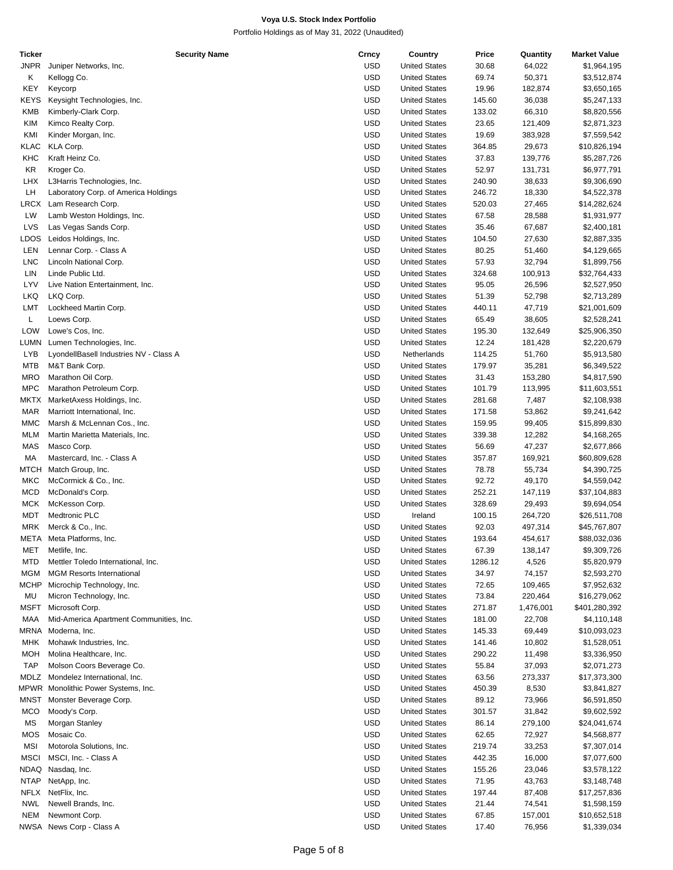| Ticker      | <b>Security Name</b>                    | Crncy      | Country              | Price   | Quantity  | <b>Market Value</b> |
|-------------|-----------------------------------------|------------|----------------------|---------|-----------|---------------------|
| <b>JNPR</b> | Juniper Networks, Inc.                  | <b>USD</b> | <b>United States</b> | 30.68   | 64,022    | \$1,964,195         |
| Κ           | Kellogg Co.                             | <b>USD</b> | <b>United States</b> | 69.74   | 50,371    | \$3,512,874         |
|             |                                         |            |                      |         |           |                     |
| KEY         | Keycorp                                 | <b>USD</b> | <b>United States</b> | 19.96   | 182,874   | \$3,650,165         |
| KEYS        | Keysight Technologies, Inc.             | <b>USD</b> | <b>United States</b> | 145.60  | 36,038    | \$5,247,133         |
| <b>KMB</b>  | Kimberly-Clark Corp.                    | <b>USD</b> | <b>United States</b> | 133.02  | 66,310    | \$8,820,556         |
| <b>KIM</b>  | Kimco Realty Corp.                      | <b>USD</b> | <b>United States</b> | 23.65   | 121,409   | \$2,871,323         |
|             |                                         |            |                      |         |           |                     |
| KMI         | Kinder Morgan, Inc.                     | <b>USD</b> | <b>United States</b> | 19.69   | 383,928   | \$7,559,542         |
| KLAC        | KLA Corp.                               | <b>USD</b> | <b>United States</b> | 364.85  | 29,673    | \$10,826,194        |
| KHC         | Kraft Heinz Co.                         | <b>USD</b> | <b>United States</b> | 37.83   | 139,776   | \$5,287,726         |
|             |                                         |            |                      |         |           |                     |
| KR          | Kroger Co.                              | <b>USD</b> | <b>United States</b> | 52.97   | 131,731   | \$6,977,791         |
| <b>LHX</b>  | L3Harris Technologies, Inc.             | <b>USD</b> | <b>United States</b> | 240.90  | 38,633    | \$9,306,690         |
| LH          | Laboratory Corp. of America Holdings    | <b>USD</b> | <b>United States</b> | 246.72  | 18,330    | \$4,522,378         |
| LRCX        | Lam Research Corp.                      | <b>USD</b> | <b>United States</b> | 520.03  | 27,465    | \$14,282,624        |
|             |                                         |            |                      |         |           |                     |
| LW          | Lamb Weston Holdings, Inc.              | <b>USD</b> | <b>United States</b> | 67.58   | 28,588    | \$1,931,977         |
| LVS         | Las Vegas Sands Corp.                   | <b>USD</b> | <b>United States</b> | 35.46   | 67,687    | \$2,400,181         |
| LDOS        | Leidos Holdings, Inc.                   | <b>USD</b> | <b>United States</b> | 104.50  | 27,630    | \$2,887,335         |
| LEN         | Lennar Corp. - Class A                  | <b>USD</b> | <b>United States</b> | 80.25   |           |                     |
|             |                                         |            |                      |         | 51,460    | \$4,129,665         |
| <b>LNC</b>  | Lincoln National Corp.                  | <b>USD</b> | <b>United States</b> | 57.93   | 32,794    | \$1,899,756         |
| LIN         | Linde Public Ltd.                       | <b>USD</b> | <b>United States</b> | 324.68  | 100,913   | \$32,764,433        |
| LYV         | Live Nation Entertainment, Inc.         | <b>USD</b> | <b>United States</b> | 95.05   | 26,596    | \$2,527,950         |
|             |                                         |            |                      |         |           |                     |
| LKQ         | LKQ Corp.                               | <b>USD</b> | <b>United States</b> | 51.39   | 52,798    | \$2,713,289         |
| LMT         | Lockheed Martin Corp.                   | <b>USD</b> | <b>United States</b> | 440.11  | 47,719    | \$21,001,609        |
| Г           | Loews Corp.                             | <b>USD</b> | <b>United States</b> | 65.49   | 38,605    | \$2,528,241         |
| <b>LOW</b>  | Lowe's Cos, Inc.                        | <b>USD</b> | <b>United States</b> | 195.30  | 132,649   | \$25,906,350        |
|             |                                         |            |                      |         |           |                     |
| <b>LUMN</b> | Lumen Technologies, Inc.                | <b>USD</b> | <b>United States</b> | 12.24   | 181,428   | \$2,220,679         |
| LYB         | LyondellBasell Industries NV - Class A  | <b>USD</b> | Netherlands          | 114.25  | 51,760    | \$5,913,580         |
| <b>MTB</b>  | M&T Bank Corp.                          | <b>USD</b> | <b>United States</b> | 179.97  | 35,281    | \$6,349,522         |
|             |                                         |            |                      |         |           |                     |
| <b>MRO</b>  | Marathon Oil Corp.                      | <b>USD</b> | <b>United States</b> | 31.43   | 153,280   | \$4,817,590         |
| <b>MPC</b>  | Marathon Petroleum Corp.                | <b>USD</b> | <b>United States</b> | 101.79  | 113,995   | \$11,603,551        |
| MKTX        | MarketAxess Holdings, Inc.              | <b>USD</b> | <b>United States</b> | 281.68  | 7,487     | \$2,108,938         |
| <b>MAR</b>  | Marriott International, Inc.            | <b>USD</b> | <b>United States</b> | 171.58  |           |                     |
|             |                                         |            |                      |         | 53,862    | \$9,241,642         |
| <b>MMC</b>  | Marsh & McLennan Cos., Inc.             | <b>USD</b> | <b>United States</b> | 159.95  | 99,405    | \$15,899,830        |
| <b>MLM</b>  | Martin Marietta Materials, Inc.         | <b>USD</b> | <b>United States</b> | 339.38  | 12,282    | \$4,168,265         |
| MAS         | Masco Corp.                             | <b>USD</b> | <b>United States</b> | 56.69   | 47,237    | \$2,677,866         |
|             |                                         |            |                      |         |           |                     |
| МA          | Mastercard, Inc. - Class A              | <b>USD</b> | <b>United States</b> | 357.87  | 169,921   | \$60,809,628        |
| МТСН        | Match Group, Inc.                       | <b>USD</b> | <b>United States</b> | 78.78   | 55,734    | \$4,390,725         |
| MKC         | McCormick & Co., Inc.                   | <b>USD</b> | <b>United States</b> | 92.72   | 49,170    | \$4,559,042         |
| <b>MCD</b>  | McDonald's Corp.                        | <b>USD</b> | <b>United States</b> | 252.21  | 147,119   | \$37,104,883        |
|             |                                         |            |                      |         |           |                     |
| <b>MCK</b>  | McKesson Corp.                          | <b>USD</b> | <b>United States</b> | 328.69  | 29,493    | \$9,694,054         |
| MDT         | Medtronic PLC                           | <b>USD</b> | Ireland              | 100.15  | 264,720   | \$26,511,708        |
| <b>MRK</b>  | Merck & Co., Inc.                       | <b>USD</b> | <b>United States</b> | 92.03   | 497,314   | \$45,767,807        |
|             |                                         |            |                      |         |           |                     |
| META        | Meta Platforms, Inc.                    | <b>USD</b> | <b>United States</b> | 193.64  | 454,617   | \$88,032,036        |
| MET         | Metlife, Inc.                           | <b>USD</b> | <b>United States</b> | 67.39   | 138,147   | \$9,309,726         |
| <b>MTD</b>  | Mettler Toledo International, Inc.      | <b>USD</b> | <b>United States</b> | 1286.12 | 4,526     | \$5,820,979         |
| MGM         | <b>MGM Resorts International</b>        | <b>USD</b> | <b>United States</b> | 34.97   | 74,157    | \$2,593,270         |
|             |                                         |            |                      |         |           |                     |
| <b>MCHP</b> | Microchip Technology, Inc.              | <b>USD</b> | <b>United States</b> | 72.65   | 109,465   | \$7,952,632         |
| MU          | Micron Technology, Inc.                 | <b>USD</b> | <b>United States</b> | 73.84   | 220,464   | \$16,279,062        |
| MSFT        | Microsoft Corp.                         | <b>USD</b> | <b>United States</b> | 271.87  | 1,476,001 | \$401,280,392       |
| MAA         | Mid-America Apartment Communities, Inc. | <b>USD</b> | <b>United States</b> | 181.00  | 22,708    | \$4,110,148         |
|             |                                         |            |                      |         |           |                     |
| MRNA        | Moderna, Inc.                           | <b>USD</b> | <b>United States</b> | 145.33  | 69,449    | \$10,093,023        |
| MHK         | Mohawk Industries, Inc.                 | <b>USD</b> | <b>United States</b> | 141.46  | 10,802    | \$1,528,051         |
| MOH         | Molina Healthcare, Inc.                 | <b>USD</b> | <b>United States</b> | 290.22  | 11,498    | \$3,336,950         |
|             |                                         |            |                      |         |           |                     |
| <b>TAP</b>  | Molson Coors Beverage Co.               | <b>USD</b> | <b>United States</b> | 55.84   | 37,093    | \$2,071,273         |
| MDLZ        | Mondelez International, Inc.            | <b>USD</b> | <b>United States</b> | 63.56   | 273,337   | \$17,373,300        |
|             | MPWR Monolithic Power Systems, Inc.     | <b>USD</b> | <b>United States</b> | 450.39  | 8,530     | \$3,841,827         |
| MNST        | Monster Beverage Corp.                  | <b>USD</b> | <b>United States</b> | 89.12   | 73,966    | \$6,591,850         |
|             |                                         |            |                      |         |           |                     |
| <b>MCO</b>  | Moody's Corp.                           | <b>USD</b> | <b>United States</b> | 301.57  | 31,842    | \$9,602,592         |
| MS          | Morgan Stanley                          | <b>USD</b> | <b>United States</b> | 86.14   | 279,100   | \$24,041,674        |
| <b>MOS</b>  | Mosaic Co.                              | <b>USD</b> | <b>United States</b> | 62.65   | 72,927    | \$4,568,877         |
|             |                                         |            |                      |         |           |                     |
| MSI         | Motorola Solutions, Inc.                | <b>USD</b> | <b>United States</b> | 219.74  | 33,253    | \$7,307,014         |
| <b>MSCI</b> | MSCI, Inc. - Class A                    | <b>USD</b> | <b>United States</b> | 442.35  | 16,000    | \$7,077,600         |
| NDAQ        | Nasdaq, Inc.                            | <b>USD</b> | <b>United States</b> | 155.26  | 23,046    | \$3,578,122         |
| NTAP        | NetApp, Inc.                            | <b>USD</b> | <b>United States</b> | 71.95   | 43,763    | \$3,148,748         |
|             |                                         |            |                      |         |           |                     |
| NFLX        | NetFlix, Inc.                           | <b>USD</b> | <b>United States</b> | 197.44  | 87,408    | \$17,257,836        |
| <b>NWL</b>  | Newell Brands, Inc.                     | <b>USD</b> | <b>United States</b> | 21.44   | 74,541    | \$1,598,159         |
| <b>NEM</b>  | Newmont Corp.                           | <b>USD</b> | <b>United States</b> | 67.85   | 157,001   | \$10,652,518        |
|             | NWSA News Corp - Class A                | <b>USD</b> | <b>United States</b> | 17.40   | 76,956    | \$1,339,034         |
|             |                                         |            |                      |         |           |                     |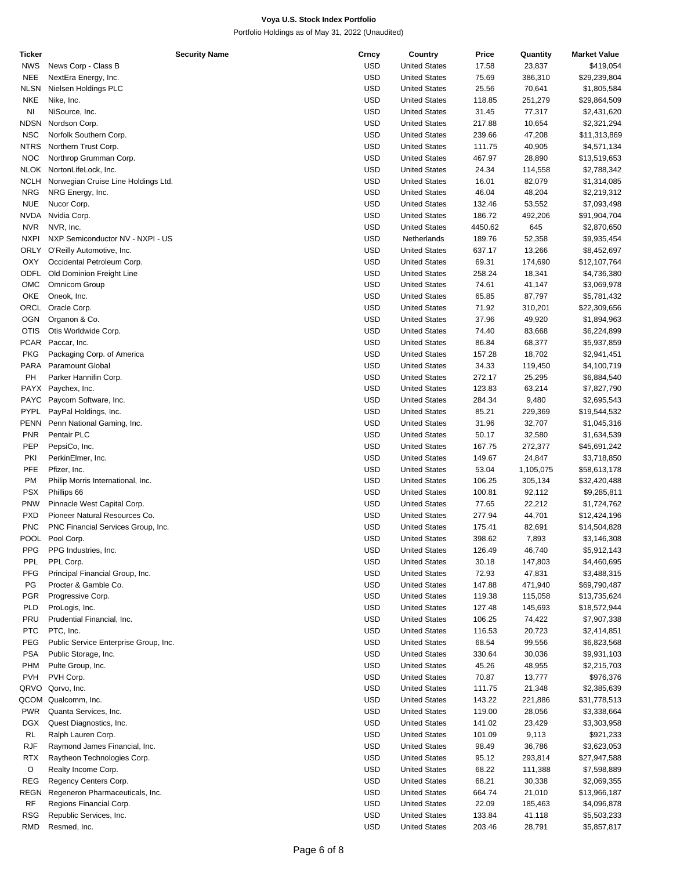| Ticker      | <b>Security Name</b>                  | Crncy      | Country              | Price   | Quantity  | <b>Market Value</b> |
|-------------|---------------------------------------|------------|----------------------|---------|-----------|---------------------|
| <b>NWS</b>  | News Corp - Class B                   | <b>USD</b> | <b>United States</b> | 17.58   | 23,837    | \$419,054           |
| <b>NEE</b>  | NextEra Energy, Inc.                  | <b>USD</b> | <b>United States</b> | 75.69   | 386,310   | \$29,239,804        |
| <b>NLSN</b> | Nielsen Holdings PLC                  | <b>USD</b> | <b>United States</b> | 25.56   | 70,641    | \$1,805,584         |
| <b>NKE</b>  | Nike, Inc.                            | <b>USD</b> | <b>United States</b> | 118.85  | 251,279   | \$29,864,509        |
| NI          | NiSource, Inc.                        | <b>USD</b> | <b>United States</b> | 31.45   | 77,317    | \$2,431,620         |
| NDSN        | Nordson Corp.                         | <b>USD</b> | <b>United States</b> | 217.88  | 10,654    | \$2,321,294         |
|             |                                       |            |                      |         |           |                     |
| <b>NSC</b>  | Norfolk Southern Corp.                | <b>USD</b> | <b>United States</b> | 239.66  | 47,208    | \$11,313,869        |
| NTRS        | Northern Trust Corp.                  | <b>USD</b> | <b>United States</b> | 111.75  | 40,905    | \$4,571,134         |
| <b>NOC</b>  | Northrop Grumman Corp.                | <b>USD</b> | <b>United States</b> | 467.97  | 28,890    | \$13,519,653        |
|             | NLOK NortonLifeLock, Inc.             | <b>USD</b> | <b>United States</b> | 24.34   | 114,558   | \$2,788,342         |
| <b>NCLH</b> | Norwegian Cruise Line Holdings Ltd.   | <b>USD</b> | <b>United States</b> | 16.01   | 82,079    | \$1,314,085         |
| <b>NRG</b>  | NRG Energy, Inc.                      | <b>USD</b> | <b>United States</b> | 46.04   | 48,204    | \$2,219,312         |
| <b>NUE</b>  | Nucor Corp.                           | <b>USD</b> | <b>United States</b> | 132.46  | 53,552    | \$7,093,498         |
| NVDA        | Nvidia Corp.                          | <b>USD</b> | <b>United States</b> | 186.72  | 492,206   | \$91,904,704        |
| <b>NVR</b>  | NVR, Inc.                             | <b>USD</b> | <b>United States</b> | 4450.62 | 645       | \$2,870,650         |
| <b>NXPI</b> | NXP Semiconductor NV - NXPI - US      | <b>USD</b> | Netherlands          | 189.76  | 52,358    | \$9,935,454         |
|             |                                       |            |                      |         |           |                     |
| <b>ORLY</b> | O'Reilly Automotive, Inc.             | <b>USD</b> | <b>United States</b> | 637.17  | 13,266    | \$8,452,697         |
| OXY         | Occidental Petroleum Corp.            | <b>USD</b> | <b>United States</b> | 69.31   | 174,690   | \$12,107,764        |
| <b>ODFL</b> | Old Dominion Freight Line             | <b>USD</b> | <b>United States</b> | 258.24  | 18,341    | \$4,736,380         |
| OMC         | <b>Omnicom Group</b>                  | <b>USD</b> | <b>United States</b> | 74.61   | 41,147    | \$3,069,978         |
| OKE         | Oneok, Inc.                           | <b>USD</b> | <b>United States</b> | 65.85   | 87,797    | \$5,781,432         |
| ORCL        | Oracle Corp.                          | <b>USD</b> | <b>United States</b> | 71.92   | 310,201   | \$22,309,656        |
| <b>OGN</b>  | Organon & Co.                         | <b>USD</b> | <b>United States</b> | 37.96   | 49,920    | \$1,894,963         |
| <b>OTIS</b> | Otis Worldwide Corp.                  | <b>USD</b> | <b>United States</b> | 74.40   | 83,668    | \$6,224,899         |
| <b>PCAR</b> | Paccar, Inc.                          | <b>USD</b> | <b>United States</b> | 86.84   | 68,377    | \$5,937,859         |
|             |                                       |            |                      |         |           |                     |
| <b>PKG</b>  | Packaging Corp. of America            | <b>USD</b> | <b>United States</b> | 157.28  | 18,702    | \$2,941,451         |
| PARA        | <b>Paramount Global</b>               | <b>USD</b> | <b>United States</b> | 34.33   | 119,450   | \$4,100,719         |
| PH          | Parker Hannifin Corp.                 | <b>USD</b> | <b>United States</b> | 272.17  | 25,295    | \$6,884,540         |
| PAYX        | Paychex, Inc.                         | <b>USD</b> | <b>United States</b> | 123.83  | 63,214    | \$7,827,790         |
| <b>PAYC</b> | Paycom Software, Inc.                 | <b>USD</b> | <b>United States</b> | 284.34  | 9,480     | \$2,695,543         |
| <b>PYPL</b> | PayPal Holdings, Inc.                 | <b>USD</b> | <b>United States</b> | 85.21   | 229,369   | \$19,544,532        |
| PENN        | Penn National Gaming, Inc.            | <b>USD</b> | <b>United States</b> | 31.96   | 32,707    | \$1,045,316         |
| <b>PNR</b>  | Pentair PLC                           | <b>USD</b> | <b>United States</b> | 50.17   | 32,580    | \$1,634,539         |
| PEP         | PepsiCo, Inc.                         | <b>USD</b> | <b>United States</b> | 167.75  | 272,377   | \$45,691,242        |
|             |                                       |            |                      |         |           |                     |
| PKI         | PerkinElmer, Inc.                     | <b>USD</b> | <b>United States</b> | 149.67  | 24,847    | \$3,718,850         |
| PFE         | Pfizer, Inc.                          | <b>USD</b> | <b>United States</b> | 53.04   | 1,105,075 | \$58,613,178        |
| <b>PM</b>   | Philip Morris International, Inc.     | <b>USD</b> | <b>United States</b> | 106.25  | 305,134   | \$32,420,488        |
| <b>PSX</b>  | Phillips 66                           | <b>USD</b> | <b>United States</b> | 100.81  | 92,112    | \$9,285,811         |
| <b>PNW</b>  | Pinnacle West Capital Corp.           | <b>USD</b> | <b>United States</b> | 77.65   | 22,212    | \$1,724,762         |
| <b>PXD</b>  | Pioneer Natural Resources Co.         | <b>USD</b> | <b>United States</b> | 277.94  | 44,701    | \$12,424,196        |
| <b>PNC</b>  | PNC Financial Services Group, Inc.    | <b>USD</b> | <b>United States</b> | 175.41  | 82,691    | \$14,504,828        |
|             | POOL Pool Corp.                       | <b>USD</b> | <b>United States</b> | 398.62  | 7,893     | \$3,146,308         |
| <b>PPG</b>  | PPG Industries, Inc.                  | <b>USD</b> | <b>United States</b> | 126.49  | 46,740    | \$5,912,143         |
| PPL         | PPL Corp.                             | <b>USD</b> | <b>United States</b> | 30.18   | 147,803   | \$4,460,695         |
| <b>PFG</b>  |                                       | <b>USD</b> |                      |         |           |                     |
|             | Principal Financial Group, Inc.       |            | <b>United States</b> | 72.93   | 47,831    | \$3,488,315         |
| PG          | Procter & Gamble Co.                  | <b>USD</b> | <b>United States</b> | 147.88  | 471,940   | \$69,790,487        |
| <b>PGR</b>  | Progressive Corp.                     | <b>USD</b> | <b>United States</b> | 119.38  | 115,058   | \$13,735,624        |
| PLD         | ProLogis, Inc.                        | <b>USD</b> | <b>United States</b> | 127.48  | 145,693   | \$18,572,944        |
| PRU         | Prudential Financial, Inc.            | <b>USD</b> | <b>United States</b> | 106.25  | 74,422    | \$7,907,338         |
| <b>PTC</b>  | PTC, Inc.                             | <b>USD</b> | <b>United States</b> | 116.53  | 20,723    | \$2,414,851         |
| PEG         | Public Service Enterprise Group, Inc. | <b>USD</b> | <b>United States</b> | 68.54   | 99,556    | \$6,823,568         |
| <b>PSA</b>  | Public Storage, Inc.                  | <b>USD</b> | <b>United States</b> | 330.64  | 30,036    | \$9,931,103         |
| <b>PHM</b>  | Pulte Group, Inc.                     | <b>USD</b> | <b>United States</b> | 45.26   | 48,955    | \$2,215,703         |
| <b>PVH</b>  | PVH Corp.                             | <b>USD</b> | <b>United States</b> | 70.87   | 13,777    | \$976,376           |
|             |                                       |            |                      |         |           |                     |
| QRVO        | Qorvo, Inc.                           | <b>USD</b> | <b>United States</b> | 111.75  | 21,348    | \$2,385,639         |
| QCOM        | Qualcomm, Inc.                        | <b>USD</b> | <b>United States</b> | 143.22  | 221,886   | \$31,778,513        |
| <b>PWR</b>  | Quanta Services, Inc.                 | <b>USD</b> | <b>United States</b> | 119.00  | 28,056    | \$3,338,664         |
| DGX         | Quest Diagnostics, Inc.               | <b>USD</b> | <b>United States</b> | 141.02  | 23,429    | \$3,303,958         |
| <b>RL</b>   | Ralph Lauren Corp.                    | <b>USD</b> | <b>United States</b> | 101.09  | 9,113     | \$921,233           |
| RJF         | Raymond James Financial, Inc.         | <b>USD</b> | <b>United States</b> | 98.49   | 36,786    | \$3,623,053         |
| <b>RTX</b>  | Raytheon Technologies Corp.           | <b>USD</b> | <b>United States</b> | 95.12   | 293,814   | \$27,947,588        |
| O           | Realty Income Corp.                   | <b>USD</b> | <b>United States</b> | 68.22   | 111,388   | \$7,598,889         |
| <b>REG</b>  | Regency Centers Corp.                 | <b>USD</b> | <b>United States</b> | 68.21   | 30,338    | \$2,069,355         |
| REGN        |                                       | <b>USD</b> | <b>United States</b> | 664.74  |           |                     |
|             | Regeneron Pharmaceuticals, Inc.       |            |                      |         | 21,010    | \$13,966,187        |
| RF          | Regions Financial Corp.               | <b>USD</b> | <b>United States</b> | 22.09   | 185,463   | \$4,096,878         |
| <b>RSG</b>  | Republic Services, Inc.               | <b>USD</b> | <b>United States</b> | 133.84  | 41,118    | \$5,503,233         |
| <b>RMD</b>  | Resmed, Inc.                          | <b>USD</b> | <b>United States</b> | 203.46  | 28,791    | \$5,857,817         |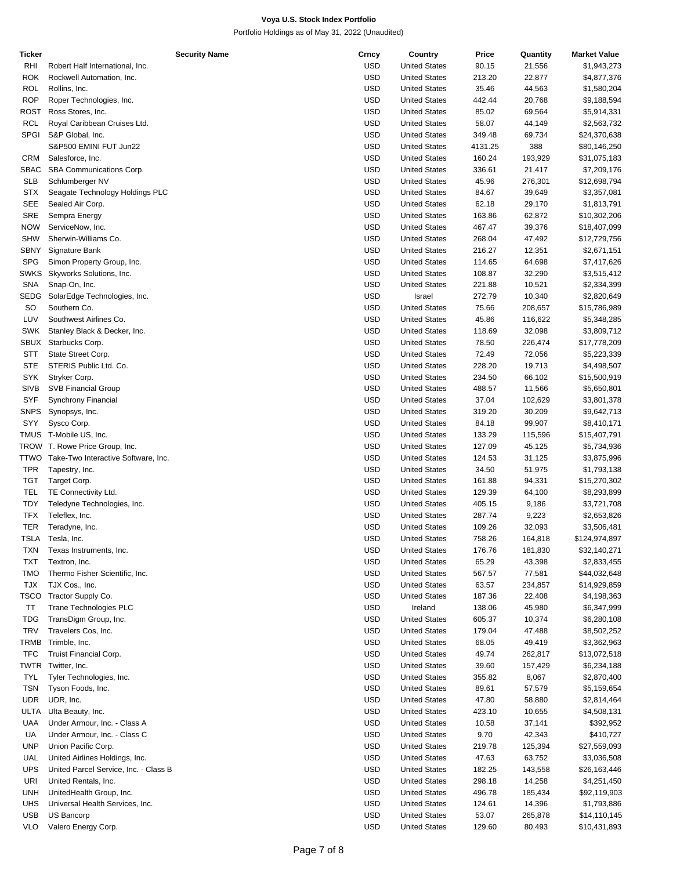| Ticker      | <b>Security Name</b>                     | Crncy      | Country              | Price   | Quantity | <b>Market Value</b> |
|-------------|------------------------------------------|------------|----------------------|---------|----------|---------------------|
| RHI         | Robert Half International, Inc.          | <b>USD</b> | <b>United States</b> | 90.15   | 21,556   | \$1,943,273         |
| ROK         | Rockwell Automation, Inc.                | <b>USD</b> | <b>United States</b> | 213.20  | 22,877   | \$4,877,376         |
| ROL         | Rollins, Inc.                            | <b>USD</b> | <b>United States</b> | 35.46   | 44,563   | \$1,580,204         |
| <b>ROP</b>  | Roper Technologies, Inc.                 | <b>USD</b> | <b>United States</b> | 442.44  | 20,768   | \$9,188,594         |
| ROST        | Ross Stores, Inc.                        | <b>USD</b> | <b>United States</b> | 85.02   | 69,564   | \$5,914,331         |
| <b>RCL</b>  | Royal Caribbean Cruises Ltd.             | <b>USD</b> | <b>United States</b> | 58.07   | 44,149   | \$2,563,732         |
| <b>SPGI</b> | S&P Global, Inc.                         | <b>USD</b> | <b>United States</b> | 349.48  | 69,734   | \$24,370,638        |
|             | S&P500 EMINI FUT Jun22                   | <b>USD</b> | <b>United States</b> | 4131.25 | 388      | \$80,146,250        |
|             |                                          | <b>USD</b> |                      |         |          |                     |
| <b>CRM</b>  | Salesforce, Inc.                         |            | <b>United States</b> | 160.24  | 193,929  | \$31,075,183        |
| SBAC        | SBA Communications Corp.                 | <b>USD</b> | <b>United States</b> | 336.61  | 21,417   | \$7,209,176         |
| <b>SLB</b>  | Schlumberger NV                          | <b>USD</b> | <b>United States</b> | 45.96   | 276,301  | \$12,698,794        |
| <b>STX</b>  | Seagate Technology Holdings PLC          | <b>USD</b> | <b>United States</b> | 84.67   | 39,649   | \$3,357,081         |
| <b>SEE</b>  | Sealed Air Corp.                         | <b>USD</b> | <b>United States</b> | 62.18   | 29,170   | \$1,813,791         |
| SRE         | Sempra Energy                            | <b>USD</b> | <b>United States</b> | 163.86  | 62,872   | \$10,302,206        |
| <b>NOW</b>  | ServiceNow, Inc.                         | <b>USD</b> | <b>United States</b> | 467.47  | 39,376   | \$18,407,099        |
| <b>SHW</b>  | Sherwin-Williams Co.                     | <b>USD</b> | <b>United States</b> | 268.04  | 47,492   | \$12,729,756        |
| SBNY        | Signature Bank                           | <b>USD</b> | <b>United States</b> | 216.27  | 12,351   | \$2,671,151         |
| <b>SPG</b>  | Simon Property Group, Inc.               | <b>USD</b> | <b>United States</b> | 114.65  | 64,698   | \$7,417,626         |
| <b>SWKS</b> | Skyworks Solutions, Inc.                 | <b>USD</b> | <b>United States</b> | 108.87  | 32,290   | \$3,515,412         |
| SNA         | Snap-On, Inc.                            | <b>USD</b> | <b>United States</b> | 221.88  | 10,521   | \$2,334,399         |
| SEDG        | SolarEdge Technologies, Inc.             | <b>USD</b> | Israel               | 272.79  |          | \$2,820,649         |
|             |                                          |            |                      |         | 10,340   |                     |
| SO          | Southern Co.                             | <b>USD</b> | <b>United States</b> | 75.66   | 208,657  | \$15,786,989        |
| LUV         | Southwest Airlines Co.                   | <b>USD</b> | <b>United States</b> | 45.86   | 116,622  | \$5,348,285         |
| SWK         | Stanley Black & Decker, Inc.             | <b>USD</b> | <b>United States</b> | 118.69  | 32,098   | \$3,809,712         |
| SBUX        | Starbucks Corp.                          | <b>USD</b> | <b>United States</b> | 78.50   | 226,474  | \$17,778,209        |
| STT         | State Street Corp.                       | <b>USD</b> | <b>United States</b> | 72.49   | 72,056   | \$5,223,339         |
| <b>STE</b>  | STERIS Public Ltd. Co.                   | <b>USD</b> | <b>United States</b> | 228.20  | 19,713   | \$4,498,507         |
| SYK         | Stryker Corp.                            | <b>USD</b> | <b>United States</b> | 234.50  | 66,102   | \$15,500,919        |
| <b>SIVB</b> | <b>SVB Financial Group</b>               | <b>USD</b> | <b>United States</b> | 488.57  | 11,566   | \$5,650,801         |
| SYF         | Synchrony Financial                      | <b>USD</b> | <b>United States</b> | 37.04   | 102,629  | \$3,801,378         |
| <b>SNPS</b> | Synopsys, Inc.                           | <b>USD</b> | <b>United States</b> | 319.20  | 30,209   | \$9,642,713         |
| SYY         | Sysco Corp.                              | <b>USD</b> | <b>United States</b> | 84.18   | 99,907   | \$8,410,171         |
|             | TMUS T-Mobile US, Inc.                   | <b>USD</b> | <b>United States</b> | 133.29  | 115,596  | \$15,407,791        |
|             | TROW T. Rowe Price Group, Inc.           | <b>USD</b> |                      |         |          |                     |
|             |                                          |            | <b>United States</b> | 127.09  | 45,125   | \$5,734,936         |
|             | TTWO Take-Two Interactive Software, Inc. | <b>USD</b> | <b>United States</b> | 124.53  | 31,125   | \$3,875,996         |
| TPR         | Tapestry, Inc.                           | <b>USD</b> | <b>United States</b> | 34.50   | 51,975   | \$1,793,138         |
| <b>TGT</b>  | Target Corp.                             | <b>USD</b> | <b>United States</b> | 161.88  | 94,331   | \$15,270,302        |
| TEL         | TE Connectivity Ltd.                     | <b>USD</b> | <b>United States</b> | 129.39  | 64,100   | \$8,293,899         |
| TDY         | Teledyne Technologies, Inc.              | <b>USD</b> | <b>United States</b> | 405.15  | 9,186    | \$3,721,708         |
| <b>TFX</b>  | Teleflex, Inc.                           | <b>USD</b> | <b>United States</b> | 287.74  | 9,223    | \$2,653,826         |
| TER         | Teradyne, Inc.                           | <b>USD</b> | <b>United States</b> | 109.26  | 32,093   | \$3,506,481         |
|             | TSLA Tesla, Inc.                         | <b>USD</b> | <b>United States</b> | 758.26  | 164,818  | \$124,974,897       |
| TXN         | Texas Instruments, Inc.                  | <b>USD</b> | <b>United States</b> | 176.76  | 181,830  | \$32,140,271        |
| <b>TXT</b>  | Textron, Inc.                            | <b>USD</b> | <b>United States</b> | 65.29   | 43,398   | \$2,833,455         |
| <b>TMO</b>  | Thermo Fisher Scientific, Inc.           | <b>USD</b> | <b>United States</b> | 567.57  | 77,581   | \$44,032,648        |
| <b>TJX</b>  | TJX Cos., Inc.                           | <b>USD</b> | <b>United States</b> | 63.57   | 234,857  | \$14,929,859        |
|             |                                          |            |                      |         |          |                     |
| TSCO        | Tractor Supply Co.                       | <b>USD</b> | <b>United States</b> | 187.36  | 22,408   | \$4,198,363         |
| ΤT          | Trane Technologies PLC                   | <b>USD</b> | Ireland              | 138.06  | 45,980   | \$6,347,999         |
| <b>TDG</b>  | TransDigm Group, Inc.                    | <b>USD</b> | <b>United States</b> | 605.37  | 10,374   | \$6,280,108         |
| <b>TRV</b>  | Travelers Cos, Inc.                      | <b>USD</b> | <b>United States</b> | 179.04  | 47,488   | \$8,502,252         |
| TRMB        | Trimble, Inc.                            | <b>USD</b> | <b>United States</b> | 68.05   | 49,419   | \$3,362,963         |
| <b>TFC</b>  | Truist Financial Corp.                   | <b>USD</b> | <b>United States</b> | 49.74   | 262,817  | \$13,072,518        |
|             | TWTR Twitter, Inc.                       | <b>USD</b> | <b>United States</b> | 39.60   | 157,429  | \$6,234,188         |
| <b>TYL</b>  | Tyler Technologies, Inc.                 | <b>USD</b> | <b>United States</b> | 355.82  | 8,067    | \$2,870,400         |
| TSN         | Tyson Foods, Inc.                        | <b>USD</b> | <b>United States</b> | 89.61   | 57,579   | \$5,159,654         |
| <b>UDR</b>  | UDR, Inc.                                | <b>USD</b> | <b>United States</b> | 47.80   | 58,880   | \$2,814,464         |
| ULTA        | Ulta Beauty, Inc.                        | <b>USD</b> | <b>United States</b> | 423.10  | 10,655   | \$4,508,131         |
| UAA         | Under Armour, Inc. - Class A             | <b>USD</b> | <b>United States</b> | 10.58   | 37,141   | \$392,952           |
|             |                                          |            |                      |         |          |                     |
| UA          | Under Armour, Inc. - Class C             | <b>USD</b> | <b>United States</b> | 9.70    | 42,343   | \$410,727           |
| <b>UNP</b>  | Union Pacific Corp.                      | <b>USD</b> | <b>United States</b> | 219.78  | 125,394  | \$27,559,093        |
| UAL         | United Airlines Holdings, Inc.           | <b>USD</b> | <b>United States</b> | 47.63   | 63,752   | \$3,036,508         |
| <b>UPS</b>  | United Parcel Service, Inc. - Class B    | <b>USD</b> | <b>United States</b> | 182.25  | 143,558  | \$26,163,446        |
| URI         | United Rentals, Inc.                     | <b>USD</b> | <b>United States</b> | 298.18  | 14,258   | \$4,251,450         |
| UNH         | UnitedHealth Group, Inc.                 | <b>USD</b> | <b>United States</b> | 496.78  | 185,434  | \$92,119,903        |
| UHS         | Universal Health Services, Inc.          | <b>USD</b> | <b>United States</b> | 124.61  | 14,396   | \$1,793,886         |
| <b>USB</b>  | US Bancorp                               | <b>USD</b> | <b>United States</b> | 53.07   | 265,878  | \$14,110,145        |
| <b>VLO</b>  | Valero Energy Corp.                      | <b>USD</b> | <b>United States</b> | 129.60  | 80,493   | \$10,431,893        |